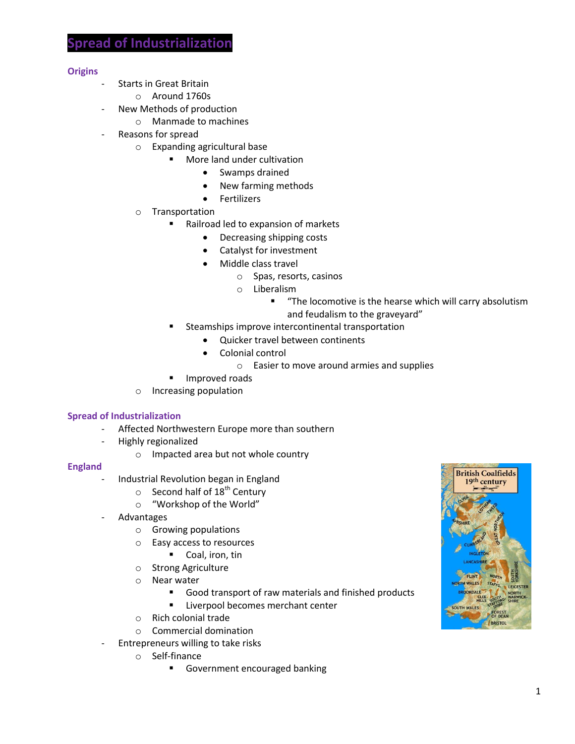### **Origins**

- Starts in Great Britain
	- o Around 1760s
- New Methods of production
	- o Manmade to machines
- Reasons for spread
	- o Expanding agricultural base
		- More land under cultivation
			- Swamps drained
			- New farming methods
			- **•** Fertilizers
	- o Transportation
		- Railroad led to expansion of markets
			- Decreasing shipping costs
			- Catalyst for investment
			- Middle class travel
				- o Spas, resorts, casinos
				- o Liberalism
					- "The locomotive is the hearse which will carry absolutism and feudalism to the graveyard"
		- Steamships improve intercontinental transportation
			- Ouicker travel between continents
			- Colonial control
				- o Easier to move around armies and supplies
		- Improved roads
	- o Increasing population

#### **Spread of Industrialization**

- Affected Northwestern Europe more than southern
- Highly regionalized
	- o Impacted area but not whole country

#### **England**

- Industrial Revolution began in England
	- $\circ$  Second half of 18<sup>th</sup> Century
	- o "Workshop of the World"
- **Advantages** 
	- o Growing populations
	- o Easy access to resources
	- Coal, iron, tin
	- o Strong Agriculture
	- o Near water
		- Good transport of raw materials and finished products
		- **Liverpool becomes merchant center**
	- o Rich colonial trade
	- o Commercial domination
- Entrepreneurs willing to take risks
	- o Self-finance
		- Government encouraged banking

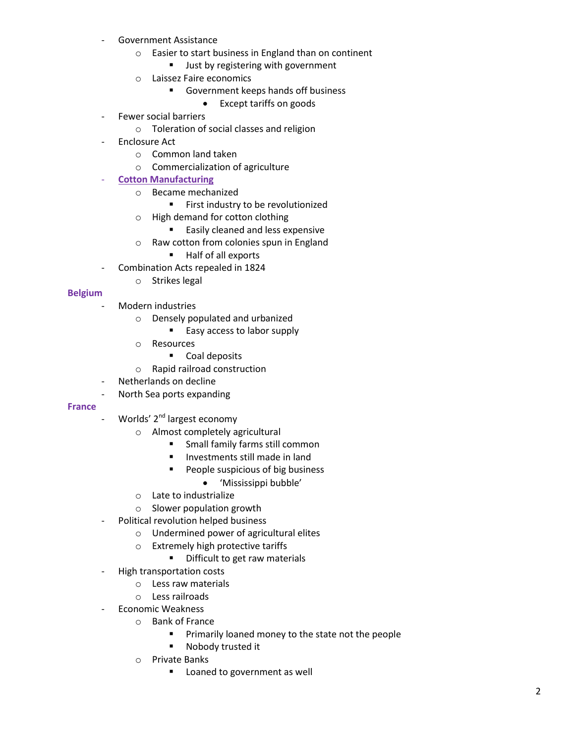- Government Assistance
	- o Easier to start business in England than on continent
		- **Just by registering with government**
	- o Laissez Faire economics
		- Government keeps hands off business
			- Except tariffs on goods
- Fewer social barriers
	- o Toleration of social classes and religion
- Enclosure Act
	- o Common land taken
	- o Commercialization of agriculture
- **Cotton Manufacturing** 
	- o Became mechanized
		- **First industry to be revolutionized**
	- o High demand for cotton clothing
		- **Easily cleaned and less expensive**
	- o Raw cotton from colonies spun in England
		- Half of all exports
- Combination Acts repealed in 1824
	- o Strikes legal

### **Belgium**

- Modern industries
	- o Densely populated and urbanized
		- Easy access to labor supply
	- o Resources
		- **Coal deposits**
	- o Rapid railroad construction
- Netherlands on decline
- North Sea ports expanding

#### **France**

- Worlds' 2<sup>nd</sup> largest economy
	- o Almost completely agricultural
		- **Small family farms still common**
		- **Investments still made in land**
		- People suspicious of big business
			- 'Mississippi bubble'
	- o Late to industrialize
	- o Slower population growth
- Political revolution helped business
	- o Undermined power of agricultural elites
	- o Extremely high protective tariffs
		- **•** Difficult to get raw materials
- High transportation costs
	- o Less raw materials
	- o Less railroads
- Economic Weakness
	- o Bank of France
		- Primarily loaned money to the state not the people
		- **Nobody trusted it**
	- o Private Banks
		- **Loaned to government as well**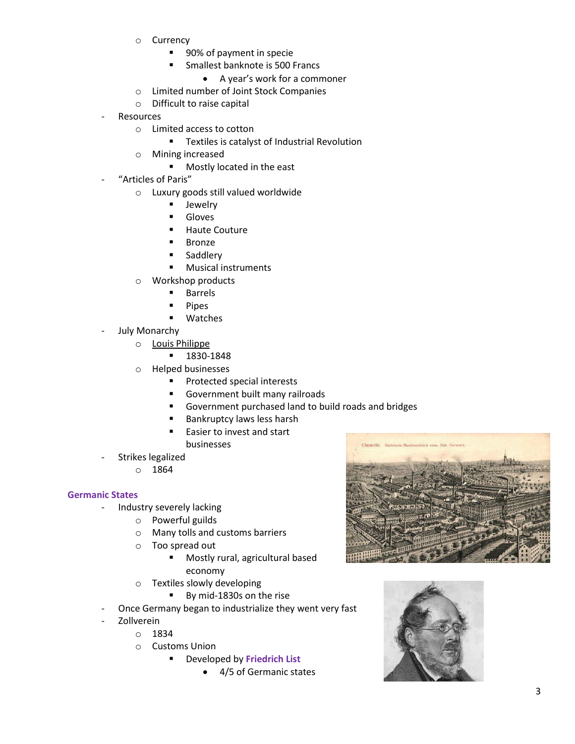- o Currency
	- 90% of payment in specie
	- **Smallest banknote is 500 Francs** 
		- A year's work for a commoner
- o Limited number of Joint Stock Companies
- o Difficult to raise capital
- **Resources** 
	- o Limited access to cotton
		- **Textiles is catalyst of Industrial Revolution**
	- o Mining increased
		- **Mostly located in the east**
- "Articles of Paris"
	- o Luxury goods still valued worldwide
		- **Jewelry**
		- Gloves
		- Haute Couture
		- Bronze
		- **Saddlery**
		- **Musical instruments**
	- o Workshop products
		- Barrels
		- Pipes
		- Watches
- July Monarchy
	- o Louis Philippe
		- 1830-1848
	- o Helped businesses
		- **Protected special interests**
		- Government built many railroads
		- Government purchased land to build roads and bridges
		- Bankruptcy laws less harsh
		- Easier to invest and start businesses
- Strikes legalized
	- o 1864

### **Germanic States**

- Industry severely lacking
	- o Powerful guilds
	- o Many tolls and customs barriers
	- o Too spread out
		- Mostly rural, agricultural based economy
	- o Textiles slowly developing
		- By mid-1830s on the rise
- Once Germany began to industrialize they went very fast
- **Zollverein** 
	- o 1834
	- o Customs Union
		- Developed by **Friedrich List**
			- 4/5 of Germanic states



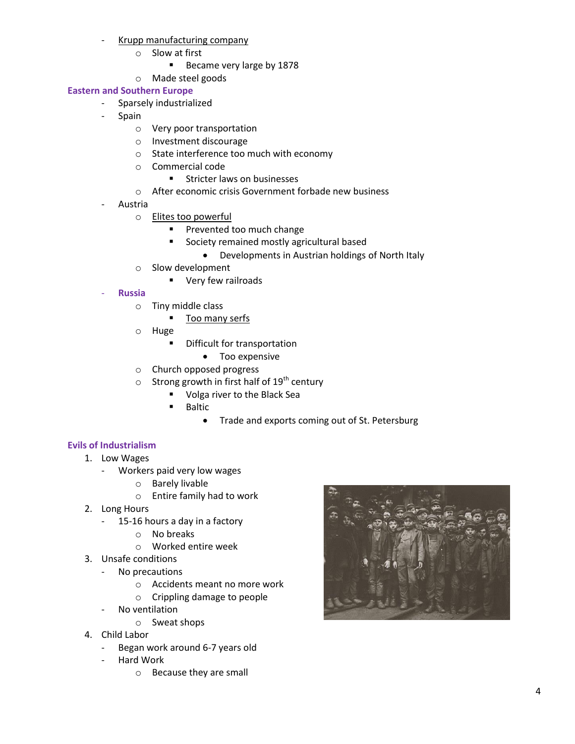- Krupp manufacturing company
	- o Slow at first
		- Became very large by 1878
	- o Made steel goods

# **Eastern and Southern Europe**

- Sparsely industrialized
	- Spain
		- o Very poor transportation
		- o Investment discourage
		- o State interference too much with economy
		- o Commercial code
			- **EXECUTE:** Stricter laws on businesses
		- o After economic crisis Government forbade new business
	- **Austria** 
		- o **Elites too powerful** 
			- **Prevented too much change** 
				- **Society remained mostly agricultural based** 
					- Developments in Austrian holdings of North Italy
		- o Slow development
			- **very few railroads**
	- **Russia**
		- o Tiny middle class
			- Too many serfs
		- o Huge
			- **•** Difficult for transportation
				- Too expensive
		- o Church opposed progress
		- $\circ$  Strong growth in first half of 19<sup>th</sup> century
			- **Volga river to the Black Sea**
			- Baltic
				- Trade and exports coming out of St. Petersburg

# **Evils of Industrialism**

- 1. Low Wages
	- Workers paid very low wages
		- o Barely livable
		- o Entire family had to work
- 2. Long Hours
	- 15-16 hours a day in a factory
		- o No breaks
		- o Worked entire week
- 3. Unsafe conditions
	- No precautions
		- o Accidents meant no more work
		- o Crippling damage to people
	- No ventilation
		- o Sweat shops
- 4. Child Labor
	- Began work around 6-7 years old
	- Hard Work
		- o Because they are small